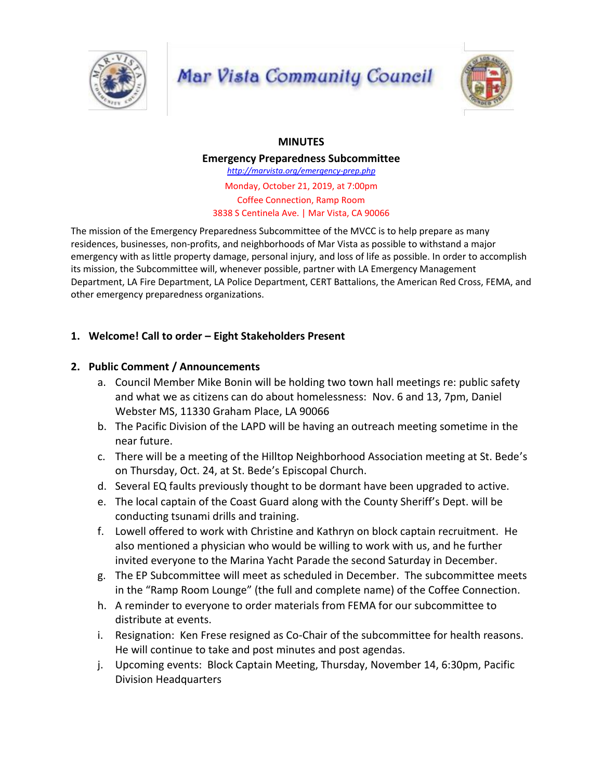

# Mar Vista Community Council



# **MINUTES**

**Emergency Preparedness Subcommittee** *http://marvista.org/emergency-prep.php* Monday, October 21, 2019, at 7:00pm Coffee Connection, Ramp Room 3838 S Centinela Ave. | Mar Vista, CA 90066

The mission of the Emergency Preparedness Subcommittee of the MVCC is to help prepare as many residences, businesses, non-profits, and neighborhoods of Mar Vista as possible to withstand a major emergency with as little property damage, personal injury, and loss of life as possible. In order to accomplish its mission, the Subcommittee will, whenever possible, partner with LA Emergency Management Department, LA Fire Department, LA Police Department, CERT Battalions, the American Red Cross, FEMA, and other emergency preparedness organizations.

# **1. Welcome! Call to order – Eight Stakeholders Present**

# **2. Public Comment / Announcements**

- a. Council Member Mike Bonin will be holding two town hall meetings re: public safety and what we as citizens can do about homelessness: Nov. 6 and 13, 7pm, Daniel Webster MS, 11330 Graham Place, LA 90066
- b. The Pacific Division of the LAPD will be having an outreach meeting sometime in the near future.
- c. There will be a meeting of the Hilltop Neighborhood Association meeting at St. Bede's on Thursday, Oct. 24, at St. Bede's Episcopal Church.
- d. Several EQ faults previously thought to be dormant have been upgraded to active.
- e. The local captain of the Coast Guard along with the County Sheriff's Dept. will be conducting tsunami drills and training.
- f. Lowell offered to work with Christine and Kathryn on block captain recruitment. He also mentioned a physician who would be willing to work with us, and he further invited everyone to the Marina Yacht Parade the second Saturday in December.
- g. The EP Subcommittee will meet as scheduled in December. The subcommittee meets in the "Ramp Room Lounge" (the full and complete name) of the Coffee Connection.
- h. A reminder to everyone to order materials from FEMA for our subcommittee to distribute at events.
- i. Resignation: Ken Frese resigned as Co-Chair of the subcommittee for health reasons. He will continue to take and post minutes and post agendas.
- j. Upcoming events: Block Captain Meeting, Thursday, November 14, 6:30pm, Pacific Division Headquarters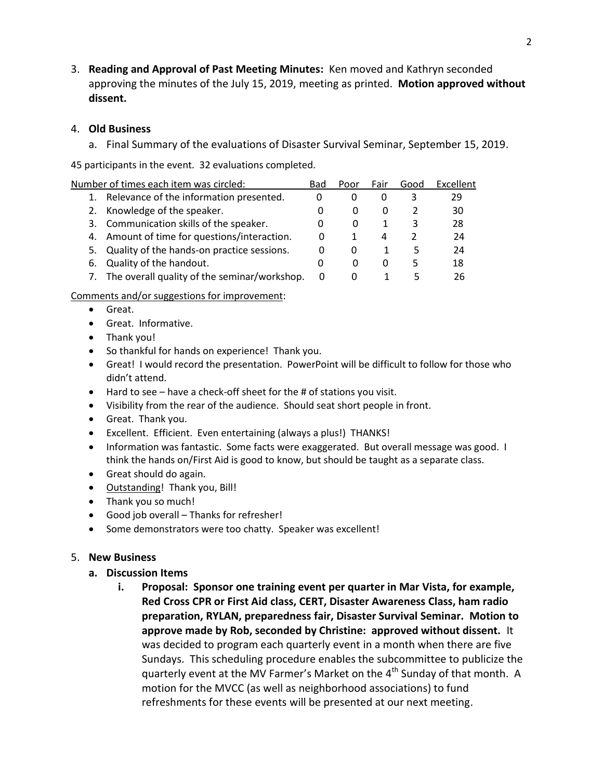3. **Reading and Approval of Past Meeting Minutes:** Ken moved and Kathryn seconded approving the minutes of the July 15, 2019, meeting as printed. **Motion approved without dissent.**

### 4. **Old Business**

a. Final Summary of the evaluations of Disaster Survival Seminar, September 15, 2019.

45 participants in the event. 32 evaluations completed.

| Number of times each item was circled: |                                                 | Bad      | Poor     | Fair     | Good | Excellent |
|----------------------------------------|-------------------------------------------------|----------|----------|----------|------|-----------|
|                                        | Relevance of the information presented.         | $\Omega$ |          |          |      | 29        |
|                                        | 2. Knowledge of the speaker.                    | 0        | O        | $\Omega$ |      | 30        |
|                                        | 3. Communication skills of the speaker.         | 0        | 0        |          | 3    | 28        |
|                                        | 4. Amount of time for questions/interaction.    | 0        |          | 4        |      | 24        |
|                                        | 5. Quality of the hands-on practice sessions.   | 0        | 0        |          | 5    | 24        |
| 6.                                     | Quality of the handout.                         | 0        | $\Omega$ | $\Omega$ | ь    | 18        |
|                                        | 7. The overall quality of the seminar/workshop. | 0        | 0        |          |      | 26        |
|                                        |                                                 |          |          |          |      |           |

#### Comments and/or suggestions for improvement:

- Great.
- Great. Informative.
- Thank you!
- So thankful for hands on experience! Thank you.
- Great! I would record the presentation. PowerPoint will be difficult to follow for those who didn't attend.
- Hard to see have a check-off sheet for the # of stations you visit.
- Visibility from the rear of the audience. Should seat short people in front.
- Great. Thank you.
- Excellent. Efficient. Even entertaining (always a plus!) THANKS!
- Information was fantastic. Some facts were exaggerated. But overall message was good. I think the hands on/First Aid is good to know, but should be taught as a separate class.
- Great should do again.
- Outstanding! Thank you, Bill!
- Thank you so much!
- Good job overall Thanks for refresher!
- Some demonstrators were too chatty. Speaker was excellent!

## 5. **New Business**

## **a. Discussion Items**

**i. Proposal: Sponsor one training event per quarter in Mar Vista, for example, Red Cross CPR or First Aid class, CERT, Disaster Awareness Class, ham radio preparation, RYLAN, preparedness fair, Disaster Survival Seminar. Motion to approve made by Rob, seconded by Christine: approved without dissent.** It was decided to program each quarterly event in a month when there are five Sundays. This scheduling procedure enables the subcommittee to publicize the quarterly event at the MV Farmer's Market on the 4<sup>th</sup> Sunday of that month. A motion for the MVCC (as well as neighborhood associations) to fund refreshments for these events will be presented at our next meeting.